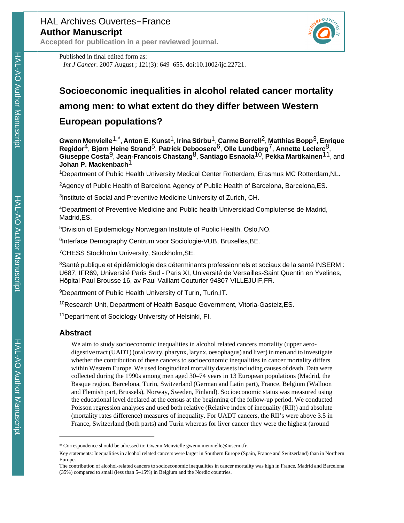

Published in final edited form as:

*Int J Cancer*. 2007 August ; 121(3): 649–655. doi:10.1002/ijc.22721.

# **Socioeconomic inequalities in alcohol related cancer mortality among men: to what extent do they differ between Western European populations?**

**Gwenn Menvielle**1,\* , **Anton E. Kunst**1, **Irina Stirbu**1, **Carme Borrell**2, **Matthias Bopp**3, **Enrique Regidor**4, **Bjørn Heine Strand**5, **Patrick Deboosere**6, **Olle Lundberg**7, **Annette Leclerc**8, **Giuseppe Costa**9, **Jean-Francois Chastang**8, **Santiago Esnaola**10, **Pekka Martikainen**11, and **Johan P. Mackenbach**1

<sup>1</sup>Department of Public Health University Medical Center Rotterdam, Erasmus MC Rotterdam,NL.

<sup>2</sup>Agency of Public Health of Barcelona Agency of Public Health of Barcelona, Barcelona, ES.

<sup>3</sup>Institute of Social and Preventive Medicine University of Zurich, CH.

<sup>4</sup>Department of Preventive Medicine and Public health Universidad Complutense de Madrid, Madrid,ES.

<sup>5</sup>Division of Epidemiology Norwegian Institute of Public Health, Oslo,NO.

<sup>6</sup>Interface Demography Centrum voor Sociologie-VUB, Bruxelles, BE.

<sup>7</sup>CHESS Stockholm University, Stockholm,SE.

 $8$ Santé publique et épidémiologie des déterminants professionnels et sociaux de la santé INSERM : U687, IFR69, Université Paris Sud - Paris XI, Université de Versailles-Saint Quentin en Yvelines, Hôpital Paul Brousse 16, av Paul Vaillant Couturier 94807 VILLEJUIF,FR.

<sup>9</sup>Department of Public Health University of Turin, Turin,IT.

<sup>10</sup>Research Unit, Department of Health Basque Government, Vitoria-Gasteiz,ES.

<sup>11</sup>Department of Sociology University of Helsinki, FI.

# **Abstract**

We aim to study socioeconomic inequalities in alcohol related cancers mortality (upper aerodigestive tract (UADT) (oral cavity, pharynx, larynx, oesophagus) and liver) in men and to investigate whether the contribution of these cancers to socioeconomic inequalities in cancer mortality differs within Western Europe. We used longitudinal mortality datasets including causes of death. Data were collected during the 1990s among men aged 30–74 years in 13 European populations (Madrid, the Basque region, Barcelona, Turin, Switzerland (German and Latin part), France, Belgium (Walloon and Flemish part, Brussels), Norway, Sweden, Finland). Socioeconomic status was measured using the educational level declared at the census at the beginning of the follow-up period. We conducted Poisson regression analyses and used both relative (Relative index of inequality (RII)) and absolute (mortality rates difference) measures of inequality. For UADT cancers, the RII's were above 3.5 in France, Switzerland (both parts) and Turin whereas for liver cancer they were the highest (around

<sup>\*</sup> Correspondence should be adressed to: Gwenn Menvielle gwenn.menvielle@inserm.fr.

Key statements: Inequalities in alcohol related cancers were larger in Southern Europe (Spain, France and Switzerland) than in Northern Europe.

The contribution of alcohol-related cancers to socioeconomic inequalities in cancer mortality was high in France, Madrid and Barcelona (35%) compared to small (less than 5–15%) in Belgium and the Nordic countries.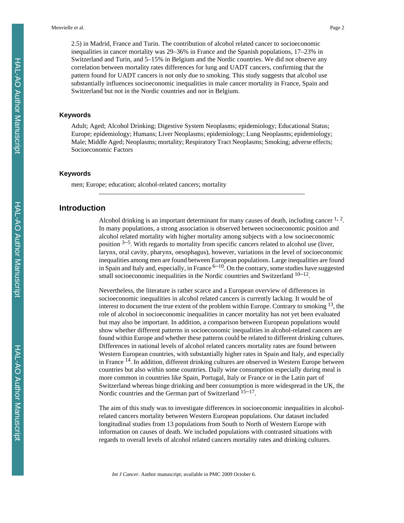2.5) in Madrid, France and Turin. The contribution of alcohol related cancer to socioeconomic inequalities in cancer mortality was 29–36% in France and the Spanish populations, 17–23% in Switzerland and Turin, and 5–15% in Belgium and the Nordic countries. We did not observe any correlation between mortality rates differences for lung and UADT cancers, confirming that the pattern found for UADT cancers is not only due to smoking. This study suggests that alcohol use substantially influences socioeconomic inequalities in male cancer mortality in France, Spain and Switzerland but not in the Nordic countries and nor in Belgium.

#### **Keywords**

Adult; Aged; Alcohol Drinking; Digestive System Neoplasms; epidemiology; Educational Status; Europe; epidemiology; Humans; Liver Neoplasms; epidemiology; Lung Neoplasms; epidemiology; Male; Middle Aged; Neoplasms; mortality; Respiratory Tract Neoplasms; Smoking; adverse effects; Socioeconomic Factors

#### **Keywords**

men; Europe; education; alcohol-related cancers; mortality

## **Introduction**

Alcohol drinking is an important determinant for many causes of death, including cancer  $1, 2$ . In many populations, a strong association is observed between socioeconomic position and alcohol related mortality with higher mortality among subjects with a low socioeconomic position  $3-5$ . With regards to mortality from specific cancers related to alcohol use (liver, larynx, oral cavity, pharynx, oesophagus), however, variations in the level of socioeconomic inequalities among men are found between European populations. Large inequalities are found in Spain and Italy and, especially, in France  $6-10$ . On the contrary, some studies have suggested small socioeconomic inequalities in the Nordic countries and Switzerland  $10-12$ .

Nevertheless, the literature is rather scarce and a European overview of differences in socioeconomic inequalities in alcohol related cancers is currently lacking. It would be of interest to document the true extent of the problem within Europe. Contrary to smoking  $^{13}$ , the role of alcohol in socioeconomic inequalities in cancer mortality has not yet been evaluated but may also be important. In addition, a comparison between European populations would show whether different patterns in socioeconomic inequalities in alcohol-related cancers are found within Europe and whether these patterns could be related to different drinking cultures. Differences in national levels of alcohol related cancers mortality rates are found between Western European countries, with substantially higher rates in Spain and Italy, and especially in France 14. In addition, different drinking cultures are observed in Western Europe between countries but also within some countries. Daily wine consumption especially during meal is more common in countries like Spain, Portugal, Italy or France or in the Latin part of Switzerland whereas binge drinking and beer consumption is more widespread in the UK, the Nordic countries and the German part of Switzerland<sup>15–17</sup>.

The aim of this study was to investigate differences in socioeconomic inequalities in alcoholrelated cancers mortality between Western European populations. Our dataset included longitudinal studies from 13 populations from South to North of Western Europe with information on causes of death. We included populations with contrasted situations with regards to overall levels of alcohol related cancers mortality rates and drinking cultures.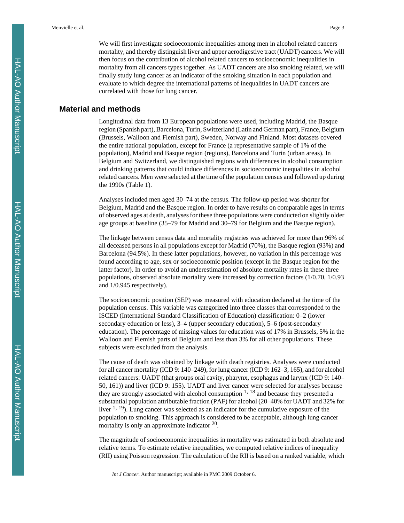We will first investigate socioeconomic inequalities among men in alcohol related cancers mortality, and thereby distinguish liver and upper aerodigestive tract (UADT) cancers. We will then focus on the contribution of alcohol related cancers to socioeconomic inequalities in mortality from all cancers types together. As UADT cancers are also smoking related, we will finally study lung cancer as an indicator of the smoking situation in each population and evaluate to which degree the international patterns of inequalities in UADT cancers are correlated with those for lung cancer.

# **Material and methods**

Longitudinal data from 13 European populations were used, including Madrid, the Basque region (Spanish part), Barcelona, Turin, Switzerland (Latin and German part), France, Belgium (Brussels, Walloon and Flemish part), Sweden, Norway and Finland. Most datasets covered the entire national population, except for France (a representative sample of 1% of the population), Madrid and Basque region (regions), Barcelona and Turin (urban areas). In Belgium and Switzerland, we distinguished regions with differences in alcohol consumption and drinking patterns that could induce differences in socioeconomic inequalities in alcohol related cancers. Men were selected at the time of the population census and followed up during the 1990s (Table 1).

Analyses included men aged 30–74 at the census. The follow-up period was shorter for Belgium, Madrid and the Basque region. In order to have results on comparable ages in terms of observed ages at death, analyses for these three populations were conducted on slightly older age groups at baseline (35–79 for Madrid and 30–79 for Belgium and the Basque region).

The linkage between census data and mortality registries was achieved for more than 96% of all deceased persons in all populations except for Madrid (70%), the Basque region (93%) and Barcelona (94.5%). In these latter populations, however, no variation in this percentage was found according to age, sex or socioeconomic position (except in the Basque region for the latter factor). In order to avoid an underestimation of absolute mortality rates in these three populations, observed absolute mortality were increased by correction factors (1/0.70, 1/0.93 and 1/0.945 respectively).

The socioeconomic position (SEP) was measured with education declared at the time of the population census. This variable was categorized into three classes that corresponded to the ISCED (International Standard Classification of Education) classification: 0–2 (lower secondary education or less), 3–4 (upper secondary education), 5–6 (post-secondary education). The percentage of missing values for education was of 17% in Brussels, 5% in the Walloon and Flemish parts of Belgium and less than 3% for all other populations. These subjects were excluded from the analysis.

The cause of death was obtained by linkage with death registries. Analyses were conducted for all cancer mortality (ICD 9: 140–249), for lung cancer (ICD 9: 162–3, 165), and for alcohol related cancers: UADT (that groups oral cavity, pharynx, esophagus and larynx (ICD 9: 140– 50, 161)) and liver (ICD 9: 155). UADT and liver cancer were selected for analyses because they are strongly associated with alcohol consumption  $1, 18$  and because they presented a substantial population attributable fraction (PAF) for alcohol (20–40% for UADT and 32% for liver  $\frac{1}{1}$ ,  $\frac{19}{12}$ . Lung cancer was selected as an indicator for the cumulative exposure of the population to smoking. This approach is considered to be acceptable, although lung cancer mortality is only an approximate indicator <sup>20</sup>.

The magnitude of socioeconomic inequalities in mortality was estimated in both absolute and relative terms. To estimate relative inequalities, we computed relative indices of inequality (RII) using Poisson regression. The calculation of the RII is based on a ranked variable, which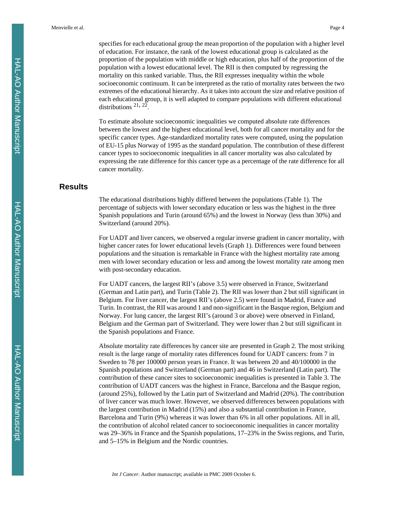specifies for each educational group the mean proportion of the population with a higher level of education. For instance, the rank of the lowest educational group is calculated as the proportion of the population with middle or high education, plus half of the proportion of the population with a lowest educational level. The RII is then computed by regressing the mortality on this ranked variable. Thus, the RII expresses inequality within the whole socioeconomic continuum. It can be interpreted as the ratio of mortality rates between the two extremes of the educational hierarchy. As it takes into account the size and relative position of each educational group, it is well adapted to compare populations with different educational distributions  $21, 22$ .

To estimate absolute socioeconomic inequalities we computed absolute rate differences between the lowest and the highest educational level, both for all cancer mortality and for the specific cancer types. Age-standardized mortality rates were computed, using the population of EU-15 plus Norway of 1995 as the standard population. The contribution of these different cancer types to socioeconomic inequalities in all cancer mortality was also calculated by expressing the rate difference for this cancer type as a percentage of the rate difference for all cancer mortality.

## **Results**

The educational distributions highly differed between the populations (Table 1). The percentage of subjects with lower secondary education or less was the highest in the three Spanish populations and Turin (around 65%) and the lowest in Norway (less than 30%) and Switzerland (around 20%).

For UADT and liver cancers, we observed a regular inverse gradient in cancer mortality, with higher cancer rates for lower educational levels (Graph 1). Differences were found between populations and the situation is remarkable in France with the highest mortality rate among men with lower secondary education or less and among the lowest mortality rate among men with post-secondary education.

For UADT cancers, the largest RII's (above 3.5) were observed in France, Switzerland (German and Latin part), and Turin (Table 2). The RII was lower than 2 but still significant in Belgium. For liver cancer, the largest RII's (above 2.5) were found in Madrid, France and Turin. In contrast, the RII was around 1 and non-significant in the Basque region, Belgium and Norway. For lung cancer, the largest RII's (around 3 or above) were observed in Finland, Belgium and the German part of Switzerland. They were lower than 2 but still significant in the Spanish populations and France.

Absolute mortality rate differences by cancer site are presented in Graph 2. The most striking result is the large range of mortality rates differences found for UADT cancers: from 7 in Sweden to 78 per 100000 person years in France. It was between 20 and 40/100000 in the Spanish populations and Switzerland (German part) and 46 in Switzerland (Latin part). The contribution of these cancer sites to socioeconomic inequalities is presented in Table 3. The contribution of UADT cancers was the highest in France, Barcelona and the Basque region, (around 25%), followed by the Latin part of Switzerland and Madrid (20%). The contribution of liver cancer was much lower. However, we observed differences between populations with the largest contribution in Madrid (15%) and also a substantial contribution in France, Barcelona and Turin (9%) whereas it was lower than 6% in all other populations. All in all, the contribution of alcohol related cancer to socioeconomic inequalities in cancer mortality was 29–36% in France and the Spanish populations, 17–23% in the Swiss regions, and Turin, and 5–15% in Belgium and the Nordic countries.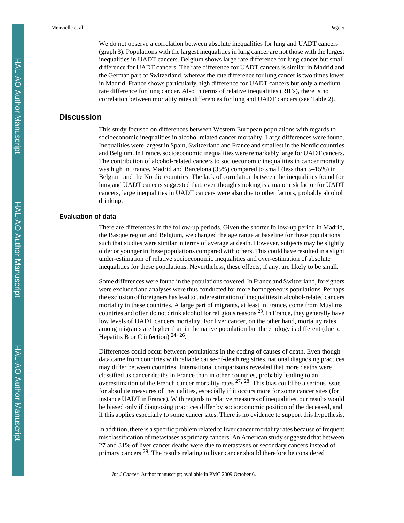We do not observe a correlation between absolute inequalities for lung and UADT cancers (graph 3). Populations with the largest inequalities in lung cancer are not those with the largest inequalities in UADT cancers. Belgium shows large rate difference for lung cancer but small difference for UADT cancers. The rate difference for UADT cancers is similar in Madrid and the German part of Switzerland, whereas the rate difference for lung cancer is two times lower in Madrid. France shows particularly high difference for UADT cancers but only a medium rate difference for lung cancer. Also in terms of relative inequalities (RII's), there is no correlation between mortality rates differences for lung and UADT cancers (see Table 2).

## **Discussion**

This study focused on differences between Western European populations with regards to socioeconomic inequalities in alcohol related cancer mortality. Large differences were found. Inequalities were largest in Spain, Switzerland and France and smallest in the Nordic countries and Belgium. In France, socioeconomic inequalities were remarkably large for UADT cancers. The contribution of alcohol-related cancers to socioeconomic inequalities in cancer mortality was high in France, Madrid and Barcelona (35%) compared to small (less than 5–15%) in Belgium and the Nordic countries. The lack of correlation between the inequalities found for lung and UADT cancers suggested that, even though smoking is a major risk factor for UADT cancers, large inequalities in UADT cancers were also due to other factors, probably alcohol drinking.

#### **Evaluation of data**

There are differences in the follow-up periods. Given the shorter follow-up period in Madrid, the Basque region and Belgium, we changed the age range at baseline for these populations such that studies were similar in terms of average at death. However, subjects may be slightly older or younger in these populations compared with others. This could have resulted in a slight under-estimation of relative socioeconomic inequalities and over-estimation of absolute inequalities for these populations. Nevertheless, these effects, if any, are likely to be small.

Some differences were found in the populations covered. In France and Switzerland, foreigners were excluded and analyses were thus conducted for more homogeneous populations. Perhaps the exclusion of foreigners has lead to underestimation of inequalities in alcohol-related cancers mortality in these countries. A large part of migrants, at least in France, come from Muslims countries and often do not drink alcohol for religious reasons  $^{23}$ . In France, they generally have low levels of UADT cancers mortality. For liver cancer, on the other hand, mortality rates among migrants are higher than in the native population but the etiology is different (due to Hepatitis B or C infection)  $24-26$ .

Differences could occur between populations in the coding of causes of death. Even though data came from countries with reliable cause-of-death registries, national diagnosing practices may differ between countries. International comparisons revealed that more deaths were classified as cancer deaths in France than in other countries, probably leading to an overestimation of the French cancer mortality rates  $27$ ,  $28$ . This bias could be a serious issue for absolute measures of inequalities, especially if it occurs more for some cancer sites (for instance UADT in France). With regards to relative measures of inequalities, our results would be biased only if diagnosing practices differ by socioeconomic position of the deceased, and if this applies especially to some cancer sites. There is no evidence to support this hypothesis.

In addition, there is a specific problem related to liver cancer mortality rates because of frequent misclassification of metastases as primary cancers. An American study suggested that between 27 and 31% of liver cancer deaths were due to metastases or secondary cancers instead of primary cancers <sup>29</sup>. The results relating to liver cancer should therefore be considered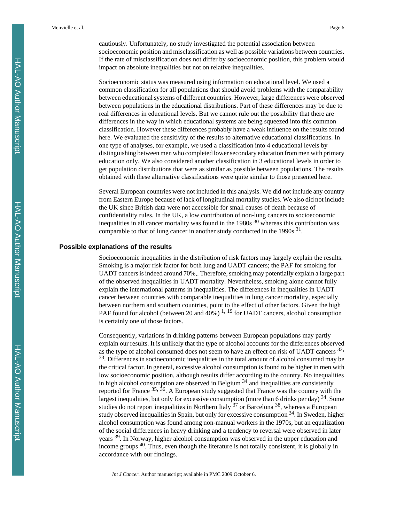cautiously. Unfortunately, no study investigated the potential association between socioeconomic position and misclassification as well as possible variations between countries. If the rate of misclassification does not differ by socioeconomic position, this problem would impact on absolute inequalities but not on relative inequalities.

Socioeconomic status was measured using information on educational level. We used a common classification for all populations that should avoid problems with the comparability between educational systems of different countries. However, large differences were observed between populations in the educational distributions. Part of these differences may be due to real differences in educational levels. But we cannot rule out the possibility that there are differences in the way in which educational systems are being squeezed into this common classification. However these differences probably have a weak influence on the results found here. We evaluated the sensitivity of the results to alternative educational classifications. In one type of analyses, for example, we used a classification into 4 educational levels by distinguishing between men who completed lower secondary education from men with primary education only. We also considered another classification in 3 educational levels in order to get population distributions that were as similar as possible between populations. The results obtained with these alternative classifications were quite similar to those presented here.

Several European countries were not included in this analysis. We did not include any country from Eastern Europe because of lack of longitudinal mortality studies. We also did not include the UK since British data were not accessible for small causes of death because of confidentiality rules. In the UK, a low contribution of non-lung cancers to socioeconomic inequalities in all cancer mortality was found in the  $1980s<sup>30</sup>$  whereas this contribution was comparable to that of lung cancer in another study conducted in the 1990s  $31$ .

#### **Possible explanations of the results**

Socioeconomic inequalities in the distribution of risk factors may largely explain the results. Smoking is a major risk factor for both lung and UADT cancers; the PAF for smoking for UADT cancers is indeed around 70%,. Therefore, smoking may potentially explain a large part of the observed inequalities in UADT mortality. Nevertheless, smoking alone cannot fully explain the international patterns in inequalities. The differences in inequalities in UADT cancer between countries with comparable inequalities in lung cancer mortality, especially between northern and southern countries, point to the effect of other factors. Given the high PAF found for alcohol (between 20 and  $40\%$ ) <sup>1, 19</sup> for UADT cancers, alcohol consumption is certainly one of those factors.

Consequently, variations in drinking patterns between European populations may partly explain our results. It is unlikely that the type of alcohol accounts for the differences observed as the type of alcohol consumed does not seem to have an effect on risk of UADT cancers  $32$ , <sup>33</sup>. Differences in socioeconomic inequalities in the total amount of alcohol consumed may be the critical factor. In general, excessive alcohol consumption is found to be higher in men with low socioeconomic position, although results differ according to the country. No inequalities in high alcohol consumption are observed in Belgium  $34$  and inequalities are consistently reported for France 35, 36. A European study suggested that France was the country with the largest inequalities, but only for excessive consumption (more than 6 drinks per day)  $34$ . Some studies do not report inequalities in Northern Italy  $37$  or Barcelona  $38$ , whereas a European study observed inequalities in Spain, but only for excessive consumption  $34$ . In Sweden, higher alcohol consumption was found among non-manual workers in the 1970s, but an equalization of the social differences in heavy drinking and a tendency to reversal were observed in later years 39. In Norway, higher alcohol consumption was observed in the upper education and income groups 40. Thus, even though the literature is not totally consistent, it is globally in accordance with our findings.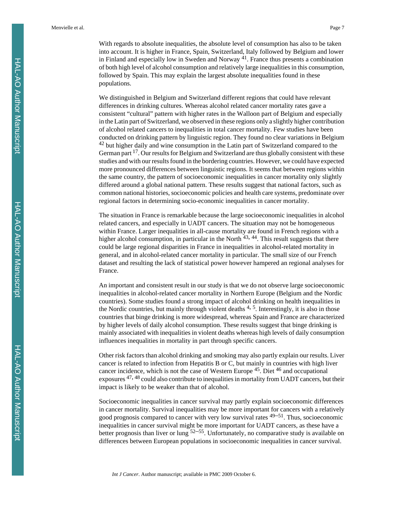With regards to absolute inequalities, the absolute level of consumption has also to be taken into account. It is higher in France, Spain, Switzerland, Italy followed by Belgium and lower in Finland and especially low in Sweden and Norway 41. France thus presents a combination of both high level of alcohol consumption and relatively large inequalities in this consumption, followed by Spain. This may explain the largest absolute inequalities found in these populations.

We distinguished in Belgium and Switzerland different regions that could have relevant differences in drinking cultures. Whereas alcohol related cancer mortality rates gave a consistent "cultural" pattern with higher rates in the Walloon part of Belgium and especially in the Latin part of Switzerland, we observed in these regions only a slightly higher contribution of alcohol related cancers to inequalities in total cancer mortality. Few studies have been conducted on drinking pattern by linguistic region. They found no clear variations in Belgium  $42$  but higher daily and wine consumption in the Latin part of Switzerland compared to the German part 17. Our results for Belgium and Switzerland are thus globally consistent with these studies and with our results found in the bordering countries. However, we could have expected more pronounced differences between linguistic regions. It seems that between regions within the same country, the pattern of socioeconomic inequalities in cancer mortality only slightly differed around a global national pattern. These results suggest that national factors, such as common national histories, socioeconomic policies and health care systems, predominate over regional factors in determining socio-economic inequalities in cancer mortality.

The situation in France is remarkable because the large socioeconomic inequalities in alcohol related cancers, and especially in UADT cancers. The situation may not be homogeneous within France. Larger inequalities in all-cause mortality are found in French regions with a higher alcohol consumption, in particular in the North  $43, 44$ . This result suggests that there could be large regional disparities in France in inequalities in alcohol-related mortality in general, and in alcohol-related cancer mortality in particular. The small size of our French dataset and resulting the lack of statistical power however hampered an regional analyses for France.

An important and consistent result in our study is that we do not observe large socioeconomic inequalities in alcohol-related cancer mortality in Northern Europe (Belgium and the Nordic countries). Some studies found a strong impact of alcohol drinking on health inequalities in the Nordic countries, but mainly through violent deaths  $4, 5$ . Interestingly, it is also in those countries that binge drinking is more widespread, whereas Spain and France are characterized by higher levels of daily alcohol consumption. These results suggest that binge drinking is mainly associated with inequalities in violent deaths whereas high levels of daily consumption influences inequalities in mortality in part through specific cancers.

Other risk factors than alcohol drinking and smoking may also partly explain our results. Liver cancer is related to infection from Hepatitis B or C, but mainly in countries with high liver cancer incidence, which is not the case of Western Europe  $45$ . Diet  $46$  and occupational exposures <sup>47, 48</sup> could also contribute to inequalities in mortality from UADT cancers, but their impact is likely to be weaker than that of alcohol.

Socioeconomic inequalities in cancer survival may partly explain socioeconomic differences in cancer mortality. Survival inequalities may be more important for cancers with a relatively good prognosis compared to cancer with very low survival rates  $49-51$ . Thus, socioeconomic inequalities in cancer survival might be more important for UADT cancers, as these have a better prognosis than liver or lung  $52-55$ . Unfortunately, no comparative study is available on differences between European populations in socioeconomic inequalities in cancer survival.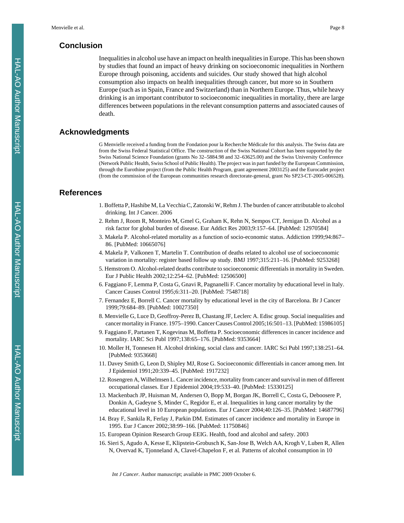## **Conclusion**

Inequalities in alcohol use have an impact on health inequalities in Europe. This has been shown by studies that found an impact of heavy drinking on socioeconomic inequalities in Northern Europe through poisoning, accidents and suicides. Our study showed that high alcohol consumption also impacts on health inequalities through cancer, but more so in Southern Europe (such as in Spain, France and Switzerland) than in Northern Europe. Thus, while heavy drinking is an important contributor to socioeconomic inequalities in mortality, there are large differences between populations in the relevant consumption patterns and associated causes of death.

## **Acknowledgments**

G Menvielle received a funding from the Fondation pour la Recherche Médicale for this analysis. The Swiss data are from the Swiss Federal Statistical Office. The construction of the Swiss National Cohort has been supported by the Swiss National Science Foundation (grants No 32–5884.98 and 32–63625.00) and the Swiss University Conference (Network Public Health, Swiss School of Public Health). The project was in part funded by the European Commission, through the Eurothine project (from the Public Health Program, grant agreement 2003125) and the Eurocadet project (from the commission of the European communities research directorate-general, grant No SP23-CT-2005-006528).

## **References**

- 1. Boffetta P, Hashibe M, La Vecchia C, Zatonski W, Rehm J. The burden of cancer attributable to alcohol drinking. Int J Cancer. 2006
- 2. Rehm J, Room R, Monteiro M, Gmel G, Graham K, Rehn N, Sempos CT, Jernigan D. Alcohol as a risk factor for global burden of disease. Eur Addict Res 2003;9:157–64. [PubMed: 12970584]
- 3. Makela P. Alcohol-related mortality as a function of socio-economic status. Addiction 1999;94:867– 86. [PubMed: 10665076]
- 4. Makela P, Valkonen T, Martelin T. Contribution of deaths related to alcohol use of socioeconomic variation in mortality: register based follow up study. BMJ 1997;315:211–16. [PubMed: 9253268]
- 5. Hemstrom O. Alcohol-related deaths contribute to socioeconomic differentials in mortality in Sweden. Eur J Public Health 2002;12:254–62. [PubMed: 12506500]
- 6. Faggiano F, Lemma P, Costa G, Gnavi R, Pagnanelli F. Cancer mortality by educational level in Italy. Cancer Causes Control 1995;6:311–20. [PubMed: 7548718]
- 7. Fernandez E, Borrell C. Cancer mortality by educational level in the city of Barcelona. Br J Cancer 1999;79:684–89. [PubMed: 10027350]
- 8. Menvielle G, Luce D, Geoffroy-Perez B, Chastang JF, Leclerc A. Edisc group. Social inequalities and cancer mortality in France. 1975–1990. Cancer Causes Control 2005;16:501–13. [PubMed: 15986105]
- 9. Faggiano F, Partanen T, Kogevinas M, Boffetta P. Socioeconomic differences in cancer incidence and mortality. IARC Sci Publ 1997;138:65–176. [PubMed: 9353664]
- 10. Moller H, Tonnesen H. Alcohol drinking, social class and cancer. IARC Sci Publ 1997;138:251–64. [PubMed: 9353668]
- 11. Davey Smith G, Leon D, Shipley MJ, Rose G. Socioeconomic differentials in cancer among men. Int J Epidemiol 1991;20:339–45. [PubMed: 1917232]
- 12. Rosengren A, Wilhelmsen L. Cancer incidence, mortality from cancer and survival in men of different occupational classes. Eur J Epidemiol 2004;19:533–40. [PubMed: 15330125]
- 13. Mackenbach JP, Huisman M, Andersen O, Bopp M, Borgan JK, Borrell C, Costa G, Deboosere P, Donkin A, Gadeyne S, Minder C, Regidor E, et al. Inequalities in lung cancer mortality by the educational level in 10 European populations. Eur J Cancer 2004;40:126–35. [PubMed: 14687796]
- 14. Bray F, Sankila R, Ferlay J, Parkin DM. Estimates of cancer incidence and mortality in Europe in 1995. Eur J Cancer 2002;38:99–166. [PubMed: 11750846]
- 15. European Opinion Research Group EEIG. Health, food and alcohol and safety. 2003
- 16. Sieri S, Agudo A, Kesse E, Klipstein-Grobusch K, San-Jose B, Welch AA, Krogh V, Luben R, Allen N, Overvad K, Tjonneland A, Clavel-Chapelon F, et al. Patterns of alcohol consumption in 10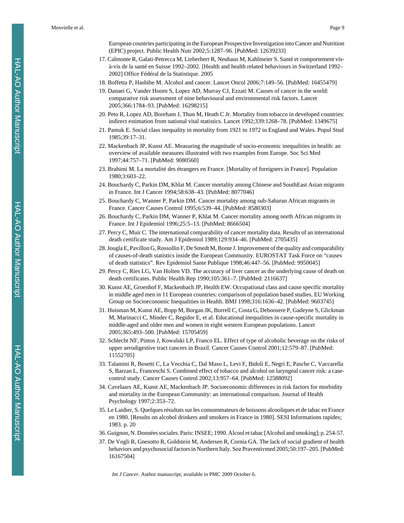European countries participating in the European Prospective Investigation into Cancer and Nutrition (EPIC) project. Public Health Nutr 2002;5:1287–96. [PubMed: 12639233]

- 17. Calmonte R, Galati-Petrecca M, Lieberherr R, Neuhaus M, Kahlmeier S. Santé et comportement visà-vis de la santé en Suisse 1992–2002. [Health and health related behaviours in Switzerland 1992– 2002] Office Fédéral de la Statistique. 2005
- 18. Boffetta P, Hashibe M. Alcohol and cancer. Lancet Oncol 2006;7:149–56. [PubMed: 16455479]
- 19. Danaei G, Vander Hoorn S, Lopez AD, Murray CJ, Ezzati M. Causes of cancer in the world: comparative risk assessment of nine behavioural and environmental risk factors. Lancet 2005;366:1784–93. [PubMed: 16298215]
- 20. Peto R, Lopez AD, Boreham J, Thun M, Heath C Jr. Mortality from tobacco in developed countries: indirect estimation from national vital statistics. Lancet 1992;339:1268–78. [PubMed: 1349675]
- 21. Pamuk E. Social class inequality in mortality from 1921 to 1972 in England and Wales. Popul Stud 1985;39:17–31.
- 22. Mackenbach JP, Kunst AE. Measuring the magnitude of socio-economic inequalities in health: an overview of available measures illustrated with two examples from Europe. Soc Sci Med 1997;44:757–71. [PubMed: 9080560]
- 23. Brahimi M. La mortalité des étrangers en France. [Mortality of foreigners in France]. Population 1980;3:603–22.
- 24. Bouchardy C, Parkin DM, Khlat M. Cancer mortality among Chinese and SouthEast Asian migrants in France. Int J Cancer 1994;58:638–43. [PubMed: 8077046]
- 25. Bouchardy C, Wanner P, Parkin DM. Cancer mortality among sub-Saharan African migrants in France. Cancer Causes Control 1995;6:539–44. [PubMed: 8580303]
- 26. Bouchardy C, Parkin DM, Wanner P, Khlat M. Cancer mortality among north African migrants in France. Int J Epidemiol 1996;25:5–13. [PubMed: 8666504]
- 27. Percy C, Muir C. The international comparability of cancer mortality data. Results of an international death certificate study. Am J Epidemiol 1989;129:934–46. [PubMed: 2705435]
- 28. Jougla E, Pavillon G, Rossollin F, De Smedt M, Bonte J. Improvement of the quality and comparability of causes-of-death statistics inside the European Community. EUROSTAT Task Force on "causes of death statistics". Rev Epidemiol Sante Publique 1998;46:447–56. [PubMed: 9950045]
- 29. Percy C, Ries LG, Van Holten VD. The accuracy of liver cancer as the underlying cause of death on death certificates. Public Health Rep 1990;105:361–7. [PubMed: 2116637]
- 30. Kunst AE, Groenhof F, Mackenbach JP, Health EW. Occupational class and cause specific mortality in middle aged men in 11 European countries: comparison of population based studies. EU Working Group on Socioeconomic Inequalities in Health. BMJ 1998;316:1636–42. [PubMed: 9603745]
- 31. Huisman M, Kunst AE, Bopp M, Borgan JK, Borrell C, Costa G, Deboosere P, Gadeyne S, Glickman M, Marinacci C, Minder C, Regidor E, et al. Educational inequalities in cause-specific mortality in middle-aged and older men and women in eight western European populations. Lancet 2005;365:493–500. [PubMed: 15705459]
- 32. Schlecht NF, Pintos J, Kowalski LP, Franco EL. Effect of type of alcoholic beverage on the risks of upper aerodigestive tract cancers in Brazil. Cancer Causes Control 2001;12:579–87. [PubMed: 11552705]
- 33. Talamini R, Bosetti C, La Vecchia C, Dal Maso L, Levi F, Bidoli E, Negri E, Pasche C, Vaccarella S, Barzan L, Franceschi S. Combined effect of tobacco and alcohol on laryngeal cancer risk: a casecontrol study. Cancer Causes Control 2002;13:957–64. [PubMed: 12588092]
- 34. Cavelaars AE, Kunst AE, Mackenbach JP. Socioeconomic differences in risk factors for morbidity and mortality in the European Community: an international comparison. Journal of Health Psychology 1997;2:353–72.
- 35. Le Laidier, S. Quelques résultats sur les consommateurs de boissons alcooliques et de tabac en France en 1980. [Results on alcohol drinkers and smokers in France in 1980]. SESI Informations rapides; 1983. p. 20
- 36. Guignon, N. Données sociales. Paris: INSEE; 1990. Alcool et tabac [Alcohol and smoking]; p. 254-57.
- 37. De Vogli R, Gnesotto R, Goldstein M, Andersen R, Cornia GA. The lack of social gradient of health behaviors and psychosocial factors in Northern Italy. Soz Praventivmed 2005;50:197–205. [PubMed: 16167504]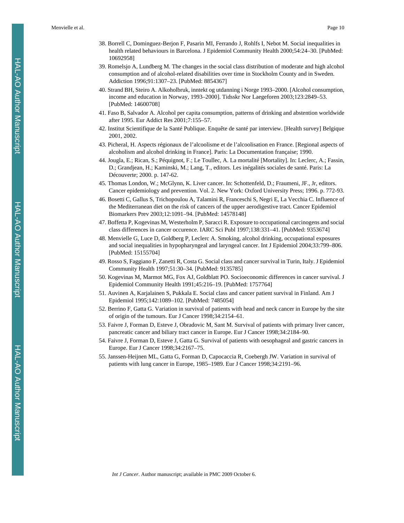- 38. Borrell C, Dominguez-Berjon F, Pasarin MI, Ferrando J, Rohlfs I, Nebot M. Social inequalities in health related behaviours in Barcelona. J Epidemiol Community Health 2000;54:24–30. [PubMed: 10692958]
- 39. Romelsjo A, Lundberg M. The changes in the social class distribution of moderate and high alcohol consumption and of alcohol-related disabilities over time in Stockholm County and in Sweden. Addiction 1996;91:1307–23. [PubMed: 8854367]
- 40. Strand BH, Steiro A. Alkoholbruk, inntekt og utdanning i Norge 1993–2000. [Alcohol consumption, income and education in Norway, 1993–2000]. Tidsskr Nor Laegeforen 2003;123:2849–53. [PubMed: 14600708]
- 41. Faso B, Salvador A. Alcohol per capita consumption, patterns of drinking and abstention worldwide after 1995. Eur Addict Res 2001;7:155–57.
- 42. Institut Scientifique de la Santé Publique. Enquête de santé par interview. [Health survey] Belgique 2001, 2002.
- 43. Picheral, H. Aspects régionaux de l'alcoolisme et de l'alcoolisation en France. [Regional aspects of alcoholism and alcohol drinking in France]. Paris: La Documentation française; 1990.
- 44. Jougla, E.; Rican, S.; Péquignot, F.; Le Toullec, A. La mortalité [Mortality]. In: Leclerc, A.; Fassin, D.; Grandjean, H.; Kaminski, M.; Lang, T., editors. Les inégalités sociales de santé. Paris: La Découverte; 2000. p. 147-62.
- 45. Thomas London, W.; McGlynn, K. Liver cancer. In: Schottenfeld, D.; Fraumeni, JF., Jr, editors. Cancer epidemiology and prevention. Vol. 2. New York: Oxford University Press; 1996. p. 772-93.
- 46. Bosetti C, Gallus S, Trichopoulou A, Talamini R, Franceschi S, Negri E, La Vecchia C. Influence of the Mediterranean diet on the risk of cancers of the upper aerodigestive tract. Cancer Epidemiol Biomarkers Prev 2003;12:1091–94. [PubMed: 14578148]
- 47. Boffetta P, Kogevinas M, Westerholm P, Saracci R. Exposure to occupational carcinogens and social class differences in cancer occurence. IARC Sci Publ 1997;138:331–41. [PubMed: 9353674]
- 48. Menvielle G, Luce D, Goldberg P, Leclerc A. Smoking, alcohol drinking, occupational exposures and social inequalities in hypopharyngeal and laryngeal cancer. Int J Epidemiol 2004;33:799–806. [PubMed: 15155704]
- 49. Rosso S, Faggiano F, Zanetti R, Costa G. Social class and cancer survival in Turin, Italy. J Epidemiol Community Health 1997;51:30–34. [PubMed: 9135785]
- 50. Kogevinas M, Marmot MG, Fox AJ, Goldblatt PO. Socioeconomic differences in cancer survival. J Epidemiol Community Health 1991;45:216–19. [PubMed: 1757764]
- 51. Auvinen A, Karjalainen S, Pukkala E. Social class and cancer patient survival in Finland. Am J Epidemiol 1995;142:1089–102. [PubMed: 7485054]
- 52. Berrino F, Gatta G. Variation in survival of patients with head and neck cancer in Europe by the site of origin of the tumours. Eur J Cancer 1998;34:2154–61.
- 53. Faivre J, Forman D, Esteve J, Obradovic M, Sant M. Survival of patients with primary liver cancer, pancreatic cancer and biliary tract cancer in Europe. Eur J Cancer 1998;34:2184–90.
- 54. Faivre J, Forman D, Esteve J, Gatta G. Survival of patients with oesophageal and gastric cancers in Europe. Eur J Cancer 1998;34:2167–75.
- 55. Janssen-Heijnen ML, Gatta G, Forman D, Capocaccia R, Coebergh JW. Variation in survival of patients with lung cancer in Europe, 1985–1989. Eur J Cancer 1998;34:2191–96.

HAL-AO Author Manuscript

HAL-AO Author Manuscript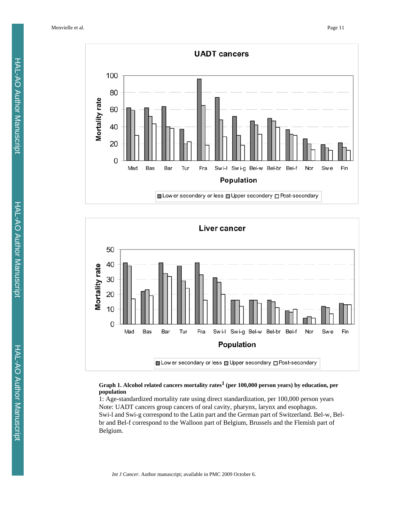Menvielle et al. Page 11





#### **Graph 1. Alcohol related cancers mortality rates<sup>1</sup> (per 100,000 person years) by education, per population**

1: Age-standardized mortality rate using direct standardization, per 100,000 person years Note: UADT cancers group cancers of oral cavity, pharynx, larynx and esophagus. Swi-l and Swi-g correspond to the Latin part and the German part of Switzerland. Bel-w, Belbr and Bel-f correspond to the Walloon part of Belgium, Brussels and the Flemish part of Belgium.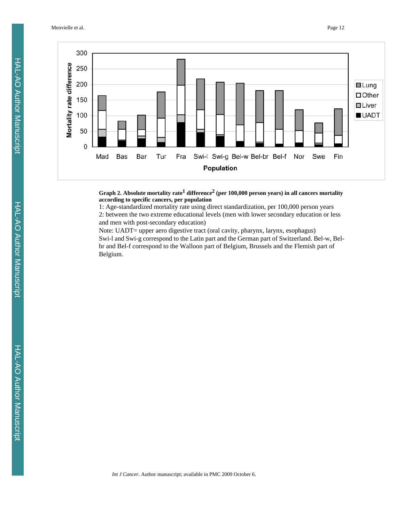Menvielle et al. Page 12



#### **Graph 2. Absolute mortality rate<sup>1</sup> difference<sup>2</sup> (per 100,000 person years) in all cancers mortality according to specific cancers, per population**

1: Age-standardized mortality rate using direct standardization, per 100,000 person years 2: between the two extreme educational levels (men with lower secondary education or less and men with post-secondary education)

Note: UADT= upper aero digestive tract (oral cavity, pharynx, larynx, esophagus) Swi-l and Swi-g correspond to the Latin part and the German part of Switzerland. Bel-w, Belbr and Bel-f correspond to the Walloon part of Belgium, Brussels and the Flemish part of Belgium.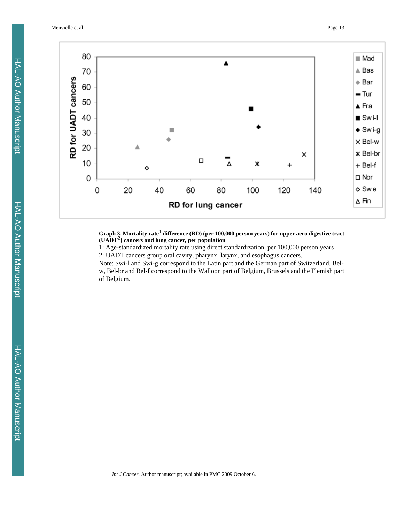Menvielle et al. Page 13



**Graph 3. Mortality rate<sup>1</sup> difference (RD) (per 100,000 person years) for upper aero digestive tract (UADT<sup>2</sup> ) cancers and lung cancer, per population**

1: Age-standardized mortality rate using direct standardization, per 100,000 person years

2: UADT cancers group oral cavity, pharynx, larynx, and esophagus cancers.

Note: Swi-l and Swi-g correspond to the Latin part and the German part of Switzerland. Belw, Bel-br and Bel-f correspond to the Walloon part of Belgium, Brussels and the Flemish part of Belgium.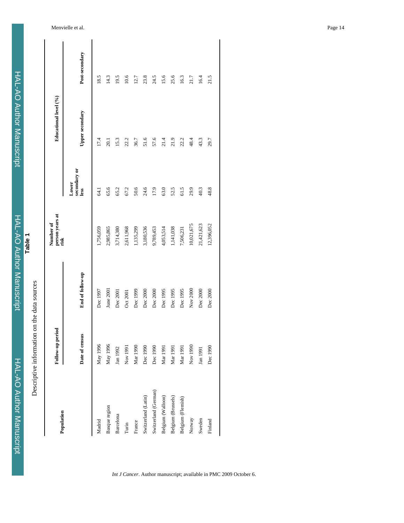HAL-AO Author ManuscriptHAL-AO Author Manuscript

**Table 1**

Descriptive information on the data sources

Descriptive information on the data sources

HAL-AO Author Manuscript HAL-AO Author Manuscript

| Menvielle et al. | Page 14 |
|------------------|---------|

| Population           | Follow-up period |                  | person years at<br>Number of<br>risk |                               | Educational level (%) |                |
|----------------------|------------------|------------------|--------------------------------------|-------------------------------|-----------------------|----------------|
|                      | Date of census   | End of follow-up |                                      | secondary or<br>Lower<br>less | Upper secondary       | Post-secondary |
| Madrid               | May 1996         | Dec 1997         | 1,756,059                            | 64.1                          | 17.4                  | 18.5           |
| Basque region        | May 1996         | June 2001        | 2,985,865                            | 65.6                          | 20.1                  | 14.3           |
| Barcelona            | Jan 1992         | Dec 2001         | 3,714,380                            | 65.2                          | 15.3                  | 19.5           |
| Turin                | Nov 1991         | Oct 2001         | 2,611,968                            | 67.2                          | 22.2                  | 10.6           |
| France               | Mar 1990         | Dec 1999         | 1,135,299                            | 50.6                          | 36.7                  | 12.7           |
| Switzerland (Latin)  | Dec 1990         | Dec 2000         | 3,180,536                            | 24.6                          | 51.6                  | 23.8           |
| Switzerland (German) | Dec 1990         | Dec 2000         | 9,789,453                            | 17.9                          | 57.6                  | 24.5           |
| Belgium (Walloon)    | Mar 1991         | Dec 1995         | 4,053,514                            | 63.0                          | 21.4                  | 15.6           |
| Belgium (Brussels)   | Mar 1991         | Dec 1995         | 1,141,038                            | 52.5                          | 21.9                  | 25.6           |
| Belgium (Flemish)    | Mar 1991         | Dec 1995         | 7,506,231                            | 61.5                          | 22.2                  | 16.3           |
| Norway               | Nov 1990         | Nov 2000         | 10,021,675                           | 29.9                          | 48.4                  | 21.7           |
| Sweden               | Jan 1991         | Dec 2000         | 21,421,623                           | 40.3                          | 43.3                  | 16.4           |
| Finland              | Dec 1990         | Dec 2000         | 12,396,052                           | 48.8                          | 29.7                  | 21.5           |
|                      |                  |                  |                                      |                               |                       |                |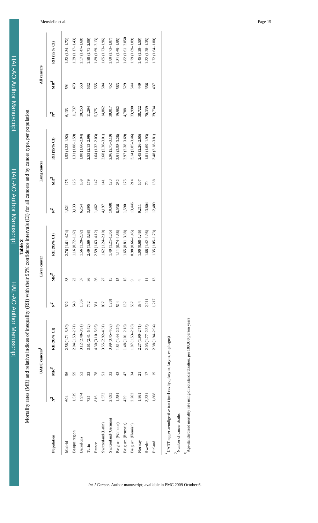| I<br>ŗ        |
|---------------|
|               |
| j             |
| i             |
|               |
|               |
|               |
| r             |
|               |
|               |
|               |
|               |
|               |
| $rac{1}{2}$   |
|               |
|               |
|               |
|               |
|               |
| $\frac{1}{2}$ |
|               |
|               |
|               |
|               |
| ו<br>ו        |
|               |
|               |
|               |
|               |
|               |
| <br> <br>     |
|               |
|               |
|               |

 HAL-AO Author ManuscriptHAL-AO Author Manuscript

Mortality rates (MR) and relative indices of inequality (RII) with their 95% confidence intervals (CI) for all cancers and by cancer type, per population Mortality rates (MR) and relative indices of inequality (RII) with their 95% confidence intervals (CI) for all cancers and by cancer type, per population

|                                                                           |              | UADT cancers'   |                      |       | Liver cancer    |                     |        | Lung cancer      |                     |              | All cancers    |                      |
|---------------------------------------------------------------------------|--------------|-----------------|----------------------|-------|-----------------|---------------------|--------|------------------|---------------------|--------------|----------------|----------------------|
| Population                                                                | $\mathbf{r}$ | MR <sup>3</sup> | RII (95% CI)         | ž     | MR <sup>3</sup> | RII (95% CI)        | ž      | $\mathbb{R}^3$   | RII (95% CI)        | $\mathbf{z}$ | $\mathbb{R}^3$ | RII (95% CI)         |
| Madrid                                                                    | 604          | 56              | 2.58 (1.71-3.89)     | 392   | 38              | $2.76(1.61 - 4.74)$ | 1,821  | 175              | 1.53 (1.22-1.92)    | 6,133        | 591            | $1.52(1.34 - 1.72)$  |
| Basque region                                                             | 1,519        | 59              | $2.04(1.53 - 2.71)$  | 543   | 22              | $1.16(0.72 - 1.87)$ | 3,133  | 125              | 1.31 (1.08-1.59)    | 11,737       | 473            | $1.29(1.17 - 1.43)$  |
| Barcelona                                                                 | 1,974        | 52              | $3.12(2.48 - 3.91)$  | 1,357 | 37              | 1.56 (1.20-2.02)    | 6,254  | 169              | $1.80(1.60 - 2.04)$ | 20,253       | 553            | $1.57(1.47 - 1.68)$  |
| Turin                                                                     | 735          | 33              | 3.61 $(2.41 - 5.42)$ | 742   | 36              | 2.49 (1.69-3.68)    | 3,895  | 179              | 2.53 (2.13-2.99)    | 11,294       | 532            | $1.88(1.71 - 2.06)$  |
| France                                                                    | 816          | 78              | $4.30(3.10-5.95)$    | 361   | 36              | $2.59(1.63 - 4.12)$ | 1,462  | 147              | $1.64(1.32 - 2.03)$ | 5,375        | 555            | $1.89(1.69 - 2.13)$  |
| Switzerland (Latin)                                                       | 1,572        | 5               | $3.55(2.92 - 4.31)$  | 807   | 27              | $1.62(1.24 - 2.10)$ | 4,197  | $\overline{141}$ | 2.68 (2.38-3.01)    | 14,862       | 504            | $1.85(1.73 - 1.96)$  |
| Switzerland (German)                                                      | 2,893        | 32              | $3.99(3.45 - 4.62)$  | 1,281 | 5               | $1.49(1.21 - 1.85)$ | 10,681 | 123              | 2.96 (2.75-3.19)    | 38,817       | 452            | $1.80(1.73 - 1.87)$  |
| Belgium (Walloon)                                                         | 1,584        | 43              | $1.81(1.44 - 2.29)$  | 524   | N               | 1.11 (0.74-1.66)    | 8,036  | 232              | 2.91 (2.58-3.28)    | 19,982       | 583            | $1.81(1.69 - 1.95)$  |
| Belgium (Brussels)                                                        | 429          | 47              | $1.48(1.01 - 2.18)$  | 132   | ≌               | $1.65(0.81 - 3.38)$ | 1,590  | 175              | 2.97 (2.38-3.69)    | 4,788        | 529            | $1.82(1.61 - 2.050)$ |
| Belgium (Flemish)                                                         | 2,262        | 34              | $1.87(1.53 - 2.28)$  | 557   |                 | $0.98(0.66 - 1.45)$ | 13,446 | 214              | $3.14(2.85 - 3.46)$ | 33,990       | 544            | $1.79(1.69 - 1.89)$  |
| Norway                                                                    | 1,861        | ಸ               | 2.27 (1.90-2.71)     | 384   |                 | $1.00(0.68 - 1.46)$ | 9,211  | 107              | $2.45(2.26 - 2.65)$ | 38,722       | 449            | $1.45(1.39 - 1.50)$  |
| Sweden                                                                    | 3,331        | $\overline{17}$ | $2.03(1.77 - 2.33)$  | 2,211 |                 | $1.68(1.42 - 1.98)$ | 13,804 | $\approx$        | 1.81 (1.69-1.93)    | 70,339       | 356            | $1.32(1.28 - 1.35)$  |
| Finland                                                                   | 1,868        | $\overline{0}$  | 2.38 (1.94-2.94)     | 1,217 | 13              | $1.35(1.05 - 1.73)$ | 12,489 | 138              | 3.48 (3.18–3.81)    | 39,734       | 437            | $1.72(1.64 - 1.80)$  |
| UADT: upper aerodigestive tract (oral cavity, pharynx, larynx, esophagus) |              |                 |                      |       |                 |                     |        |                  |                     |              |                |                      |
|                                                                           |              |                 |                      |       |                 |                     |        |                  |                     |              |                |                      |
| <sup>"</sup> Number of cancer deaths                                      |              |                 |                      |       |                 |                     |        |                  |                     |              |                |                      |

*3*Age-standardized mortality rate using direct standardization, per 100,000 person years

 $3_{\text{Age-standardized mortality rate using direct standardization, per 100,000 person years}}$